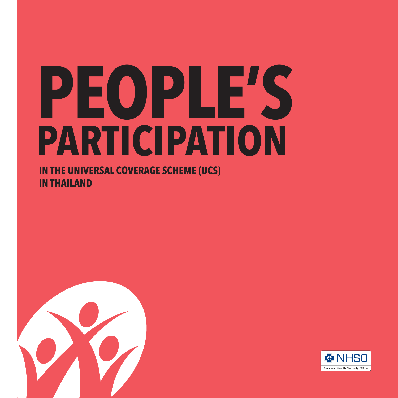## **PEOPLE'S PARTICIPATION**

**IN THE UNIVERSAL COVERAGE SCHEME (UCS) IN THAILAND**



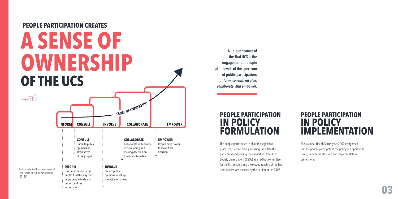#### **PEOPLE PARTICIPATION CREATES**

## **A SENSE OF OWNERSHIP OF THE UCS**

understand the information

**<sup>S</sup>ENS<sup>E</sup> <sup>O</sup><sup>F</sup> <sup>O</sup>WNERSHI<sup>P</sup> INFORM CONSULT INVOLVE COLLABORATE EMPOWER COLLABORATE EMPOWER CONSULT** Listen to public Collaborate with people People have power opinions on in developing and to make final alternatives making decision on decision  $\dot{\mathbf{a}}$ of the project the final alternative **INFORM INVOLVE** Give information to the Collect public public, find the way that opinions to set up helps people to clearly project alternatives

**A unique feature of the Thai UCS is the engagement of people at all levels of the spectrum of public participation:**  *inform, consult, involve, collaborate, and empower.*

#### **PEOPLE PARTICIPATION IN POLICY FORMULATION**

The people participated in all of the legislative processes, starting from proposing the bill to the parliament and placing representatives from Civil Society organizations (CSOs) in an ad hoc committee for the first reading and the second reading of the law until the law was enacted by the parliament in 2002.

#### **PEOPLE PARTICIPATION IN POLICY IMPLEMENTATION**

The National Health Security Act 2002 designated that the people participate at the policy and operations levels, in both the structure and implementation dimensions.

Source: adapted from International Association of Public Participation  $(2018)^1$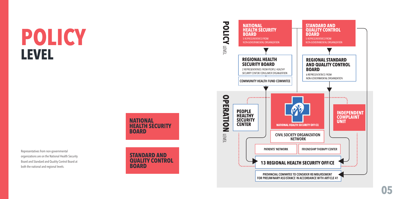## **POLICY LEVEL**



Representatives from non-governmental organizations are on the National Health Security Board and Standard and Quality Control Board at both the national and regional levels.



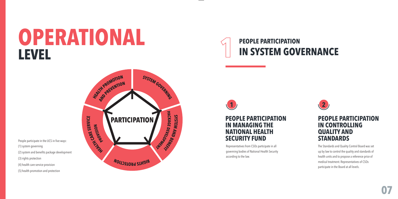## **OPERATIONAL LEVEL**



People participate in the UCS in five ways: (1) system governing (2) system and benefits package development (3) rights protection (4) health care service provision (5) health promotion and protection



**PEOPLE PARTICIPATION IN MANAGING THE NATIONAL HEALTH SECURITY FUND**

Representatives from CSOs participate in all governing bodies of National Health Security according to the law.



#### **PEOPLE PARTICIPATION IN CONTROLLING QUALITY AND STANDARDS**

The Standards and Quality Control Board was set up by law to control the quality and standards of health units and to propose a reference price of medical treatment. Representatives of CSOs participate in the Board at all levels.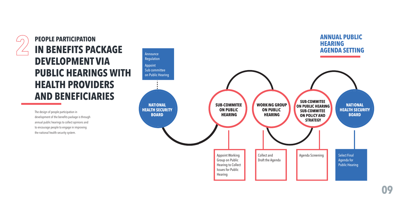#### **PEOPLE PARTICIPATION IN BENEFITS PACKAGE DEVELOPMENT VIA PUBLIC HEARINGS WITH HEALTH PROVIDERS AND BENEFICIARIES**

The design of people participation in development of the benefits package is through annual public hearings to collect opinions and to encourage people to engage in improving the national health security system.

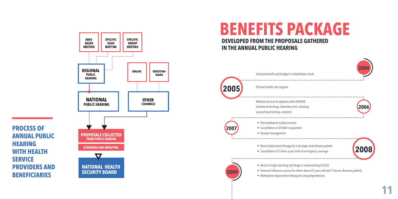

**PROCESS OF** 

**WITH HEALTH** 

**HEARING** 

**SERVICE** 

**ANNUAL PUBLIC** 

**PROVIDERS AND** 

**BENEFICIARIES** 

#### **BENEFITS PACKAGE DEVELOPED FROM THE PROPOSALS GATHERED IN THE ANNUAL PUBLIC HEARING**



**11**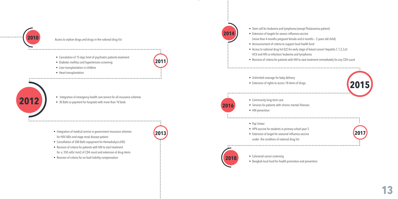

#### Access to orphan drugs and drugs in the national drug list

• Cancelation of 15 days limit of psychiatric patients treatment

**2011**

**2013**

- Diabetes mellitus and hypertension screening
- Liver transplantation in children
- Heart transplantation



• Integration of emergency health care service for all insurance schemes • 30 Baht co-payment for hospitals with more than 10 beds

- Integration of medical service in government insurance schemes for HIV/ AIDs end stage renal disease patient
- Cancellation of 500 Baht copayment for Hemodialysis (HD)
- Revision of criteria for patients with HIV to start treatment for ≤ 350 cells/ mm2 of CD4 count and extension of drug items
- Revision of criteria for no-fault liability compensation

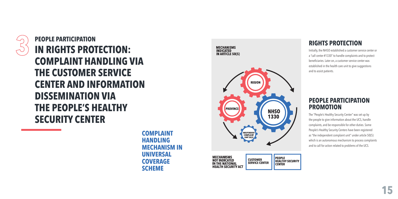

**PEOPLE PARTICIPATION IN RIGHTS PROTECTION: COMPLAINT HANDLING VIA THE CUSTOMER SERVICE CENTER AND INFORMATION DISSEMINATION VIA THE PEOPLE'S HEALTHY SECURITY CENTER**

> **COMPLAINT HANDLING MECHANISM IN UNIVERSAL COVERAGE SCHEME**



#### **RIGHTS PROTECTION**

Initially, the NHSO established a customer service center or a "call center #1330" to handle complaints and to protect beneficiaries. Later on, a customer service center was established in the health care unit to give suggestions and to assist patients.

#### **PEOPLE PARTICIPATION PROMOTION**

The "People's Healthy Security Center" was set up by the people to give information about the UCS, handle complaints, and be responsible for other duties. Some People's Healthy Security Centers have been registered as "the independent complaint unit" under article 50(5) which is an autonomous mechanism to process complaints and to call for action related to problems of the UCS.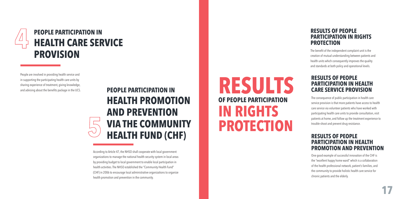

People are involved in providing health service and in supporting the participating health care units by sharing experience of treatment, giving knowledge, and advising about the benefits package in the UCS.

#### **PEOPLE PARTICIPATION IN HEALTH PROMOTION AND PREVENTION VIA THE COMMUNITY HEALTH FUND (CHF)**

According to Article 47, the NHSO shall cooperate with local government organizations to manage the national health security system in local areas by providing budget to local government to enable local participation in health activities. The NHSO established the "Community Health Fund" (CHF) in 2006 to encourage local administrative organizations to organize health promotion and prevention in the community.

### **RESULTS OF PEOPLE PARTICIPATION IN RIGHTS PROTECTION**

#### **RESULTS OF PEOPLE PARTICIPATION IN RIGHTS PROTECTION**

The benefit of the independent complaint unit is the creation of mutual understanding between patients and health units which consequently improves the quality and standards at both policy and operational levels.

#### **RESULTS OF PEOPLE PARTICIPATION IN HEALTH CARE SERVICE PROVISION**

The consequence of public participation in health care service provision is that more patients have access to health care service via volunteer patients who have worked with participating health care units to provide consultation, visit patients at home, and follow up the treatment experience to trouble-shoot and prevent drug resistance.

#### **RESULTS OF PEOPLE PARTICIPATION IN HEALTH PROMOTION AND PREVENTION**

One good example of successful innovation of the CHF is the "excellent happy home ward" which is a collaboration of the health professional network, patient's families, and the community to provide holistic health care service for chronic patients and the elderly.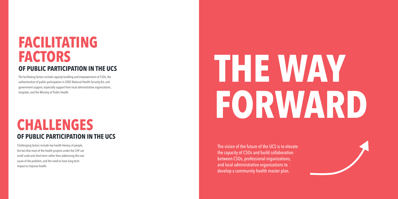### **FACILITATING FACTORS OF PUBLIC PARTICIPATION IN THE UCS**

The facilitating factors include capacity building and empowerment of CSOs, the authentication of public participation in 2002 National Health Security Act, and government support, especially support from local administrative organizations, hospitals, and the Ministry of Public Health.

#### **CHALLENGES OF PUBLIC PARTICIPATION IN THE UCS**

Challenging factors include low health literacy of people, the fact that most of the health projects under the CHF are small scale and short-term rather than addressing the root cause of the problem, and the need to have long-term impact to improve health.

# **THE WAY FORWARD**

The vision of the future of the UCS is to elevate the capacity of CSOs and build collaboration between CSOs, professional organizations, and local administrative organizations to develop a community health master plan.